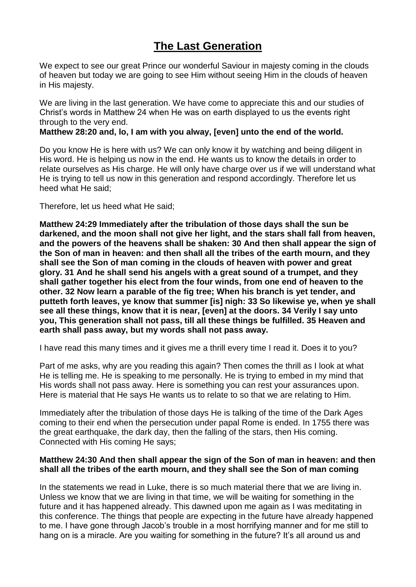# **The Last Generation**

We expect to see our great Prince our wonderful Saviour in majesty coming in the clouds of heaven but today we are going to see Him without seeing Him in the clouds of heaven in His majesty.

We are living in the last generation. We have come to appreciate this and our studies of Christ's words in Matthew 24 when He was on earth displayed to us the events right through to the very end.

# **Matthew 28:20 and, lo, I am with you alway, [even] unto the end of the world.**

Do you know He is here with us? We can only know it by watching and being diligent in His word. He is helping us now in the end. He wants us to know the details in order to relate ourselves as His charge. He will only have charge over us if we will understand what He is trying to tell us now in this generation and respond accordingly. Therefore let us heed what He said;

Therefore, let us heed what He said;

**Matthew 24:29 Immediately after the tribulation of those days shall the sun be darkened, and the moon shall not give her light, and the stars shall fall from heaven, and the powers of the heavens shall be shaken: 30 And then shall appear the sign of the Son of man in heaven: and then shall all the tribes of the earth mourn, and they shall see the Son of man coming in the clouds of heaven with power and great glory. 31 And he shall send his angels with a great sound of a trumpet, and they shall gather together his elect from the four winds, from one end of heaven to the other. 32 Now learn a parable of the fig tree; When his branch is yet tender, and putteth forth leaves, ye know that summer [is] nigh: 33 So likewise ye, when ye shall see all these things, know that it is near, [even] at the doors. 34 Verily I say unto you, This generation shall not pass, till all these things be fulfilled. 35 Heaven and earth shall pass away, but my words shall not pass away.**

I have read this many times and it gives me a thrill every time I read it. Does it to you?

Part of me asks, why are you reading this again? Then comes the thrill as I look at what He is telling me. He is speaking to me personally. He is trying to embed in my mind that His words shall not pass away. Here is something you can rest your assurances upon. Here is material that He says He wants us to relate to so that we are relating to Him.

Immediately after the tribulation of those days He is talking of the time of the Dark Ages coming to their end when the persecution under papal Rome is ended. In 1755 there was the great earthquake, the dark day, then the falling of the stars, then His coming. Connected with His coming He says;

#### **Matthew 24:30 And then shall appear the sign of the Son of man in heaven: and then shall all the tribes of the earth mourn, and they shall see the Son of man coming**

In the statements we read in Luke, there is so much material there that we are living in. Unless we know that we are living in that time, we will be waiting for something in the future and it has happened already. This dawned upon me again as I was meditating in this conference. The things that people are expecting in the future have already happened to me. I have gone through Jacob's trouble in a most horrifying manner and for me still to hang on is a miracle. Are you waiting for something in the future? It's all around us and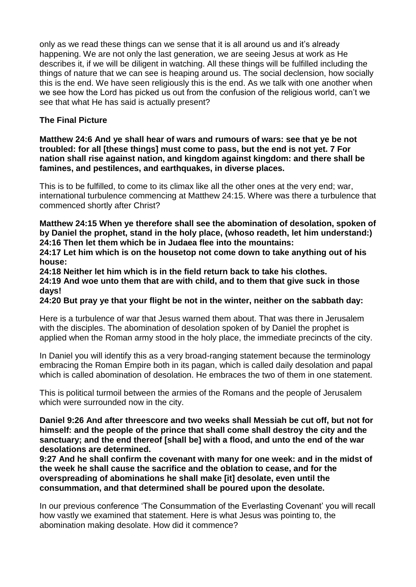only as we read these things can we sense that it is all around us and it's already happening. We are not only the last generation, we are seeing Jesus at work as He describes it, if we will be diligent in watching. All these things will be fulfilled including the things of nature that we can see is heaping around us. The social declension, how socially this is the end. We have seen religiously this is the end. As we talk with one another when we see how the Lord has picked us out from the confusion of the religious world, can't we see that what He has said is actually present?

# **The Final Picture**

**Matthew 24:6 And ye shall hear of wars and rumours of wars: see that ye be not troubled: for all [these things] must come to pass, but the end is not yet. 7 For nation shall rise against nation, and kingdom against kingdom: and there shall be famines, and pestilences, and earthquakes, in diverse places.**

This is to be fulfilled, to come to its climax like all the other ones at the very end; war, international turbulence commencing at Matthew 24:15. Where was there a turbulence that commenced shortly after Christ?

**Matthew 24:15 When ye therefore shall see the abomination of desolation, spoken of by Daniel the prophet, stand in the holy place, (whoso readeth, let him understand:) 24:16 Then let them which be in Judaea flee into the mountains:**

**24:17 Let him which is on the housetop not come down to take anything out of his house:**

**24:18 Neither let him which is in the field return back to take his clothes. 24:19 And woe unto them that are with child, and to them that give suck in those days!**

**24:20 But pray ye that your flight be not in the winter, neither on the sabbath day:**

Here is a turbulence of war that Jesus warned them about. That was there in Jerusalem with the disciples. The abomination of desolation spoken of by Daniel the prophet is applied when the Roman army stood in the holy place, the immediate precincts of the city.

In Daniel you will identify this as a very broad-ranging statement because the terminology embracing the Roman Empire both in its pagan, which is called daily desolation and papal which is called abomination of desolation. He embraces the two of them in one statement.

This is political turmoil between the armies of the Romans and the people of Jerusalem which were surrounded now in the city.

**Daniel 9:26 And after threescore and two weeks shall Messiah be cut off, but not for himself: and the people of the prince that shall come shall destroy the city and the sanctuary; and the end thereof [shall be] with a flood, and unto the end of the war desolations are determined.**

**9:27 And he shall confirm the covenant with many for one week: and in the midst of the week he shall cause the sacrifice and the oblation to cease, and for the overspreading of abominations he shall make [it] desolate, even until the consummation, and that determined shall be poured upon the desolate.**

In our previous conference 'The Consummation of the Everlasting Covenant' you will recall how vastly we examined that statement. Here is what Jesus was pointing to, the abomination making desolate. How did it commence?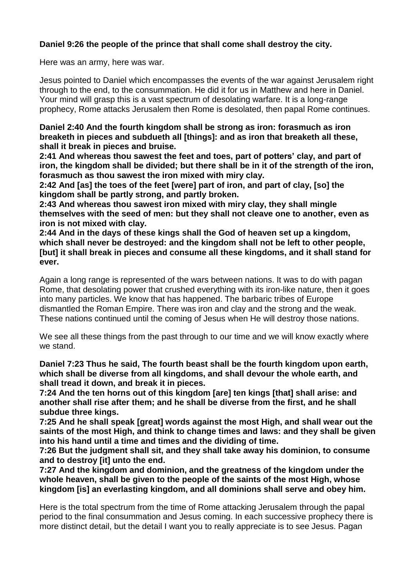# **Daniel 9:26 the people of the prince that shall come shall destroy the city.**

Here was an army, here was war.

Jesus pointed to Daniel which encompasses the events of the war against Jerusalem right through to the end, to the consummation. He did it for us in Matthew and here in Daniel. Your mind will grasp this is a vast spectrum of desolating warfare. It is a long-range prophecy, Rome attacks Jerusalem then Rome is desolated, then papal Rome continues.

**Daniel 2:40 And the fourth kingdom shall be strong as iron: forasmuch as iron breaketh in pieces and subdueth all [things]: and as iron that breaketh all these, shall it break in pieces and bruise.**

**2:41 And whereas thou sawest the feet and toes, part of potters' clay, and part of iron, the kingdom shall be divided; but there shall be in it of the strength of the iron, forasmuch as thou sawest the iron mixed with miry clay.**

**2:42 And [as] the toes of the feet [were] part of iron, and part of clay, [so] the kingdom shall be partly strong, and partly broken.**

**2:43 And whereas thou sawest iron mixed with miry clay, they shall mingle themselves with the seed of men: but they shall not cleave one to another, even as iron is not mixed with clay.**

**2:44 And in the days of these kings shall the God of heaven set up a kingdom, which shall never be destroyed: and the kingdom shall not be left to other people, [but] it shall break in pieces and consume all these kingdoms, and it shall stand for ever.**

Again a long range is represented of the wars between nations. It was to do with pagan Rome, that desolating power that crushed everything with its iron-like nature, then it goes into many particles. We know that has happened. The barbaric tribes of Europe dismantled the Roman Empire. There was iron and clay and the strong and the weak. These nations continued until the coming of Jesus when He will destroy those nations.

We see all these things from the past through to our time and we will know exactly where we stand.

**Daniel 7:23 Thus he said, The fourth beast shall be the fourth kingdom upon earth, which shall be diverse from all kingdoms, and shall devour the whole earth, and shall tread it down, and break it in pieces.**

**7:24 And the ten horns out of this kingdom [are] ten kings [that] shall arise: and another shall rise after them; and he shall be diverse from the first, and he shall subdue three kings.**

**7:25 And he shall speak [great] words against the most High, and shall wear out the saints of the most High, and think to change times and laws: and they shall be given into his hand until a time and times and the dividing of time.**

**7:26 But the judgment shall sit, and they shall take away his dominion, to consume and to destroy [it] unto the end.**

**7:27 And the kingdom and dominion, and the greatness of the kingdom under the whole heaven, shall be given to the people of the saints of the most High, whose kingdom [is] an everlasting kingdom, and all dominions shall serve and obey him.**

Here is the total spectrum from the time of Rome attacking Jerusalem through the papal period to the final consummation and Jesus coming. In each successive prophecy there is more distinct detail, but the detail I want you to really appreciate is to see Jesus. Pagan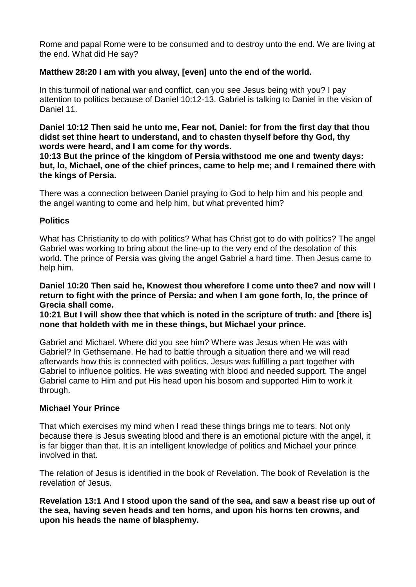Rome and papal Rome were to be consumed and to destroy unto the end. We are living at the end. What did He say?

# **Matthew 28:20 I am with you alway, [even] unto the end of the world.**

In this turmoil of national war and conflict, can you see Jesus being with you? I pay attention to politics because of Daniel 10:12-13. Gabriel is talking to Daniel in the vision of Daniel 11.

**Daniel 10:12 Then said he unto me, Fear not, Daniel: for from the first day that thou didst set thine heart to understand, and to chasten thyself before thy God, thy words were heard, and I am come for thy words.**

**10:13 But the prince of the kingdom of Persia withstood me one and twenty days: but, lo, Michael, one of the chief princes, came to help me; and I remained there with the kings of Persia.**

There was a connection between Daniel praying to God to help him and his people and the angel wanting to come and help him, but what prevented him?

# **Politics**

What has Christianity to do with politics? What has Christ got to do with politics? The angel Gabriel was working to bring about the line-up to the very end of the desolation of this world. The prince of Persia was giving the angel Gabriel a hard time. Then Jesus came to help him.

**Daniel 10:20 Then said he, Knowest thou wherefore I come unto thee? and now will I return to fight with the prince of Persia: and when I am gone forth, lo, the prince of Grecia shall come.**

**10:21 But I will show thee that which is noted in the scripture of truth: and [there is] none that holdeth with me in these things, but Michael your prince.**

Gabriel and Michael. Where did you see him? Where was Jesus when He was with Gabriel? In Gethsemane. He had to battle through a situation there and we will read afterwards how this is connected with politics. Jesus was fulfilling a part together with Gabriel to influence politics. He was sweating with blood and needed support. The angel Gabriel came to Him and put His head upon his bosom and supported Him to work it through.

# **Michael Your Prince**

That which exercises my mind when I read these things brings me to tears. Not only because there is Jesus sweating blood and there is an emotional picture with the angel, it is far bigger than that. It is an intelligent knowledge of politics and Michael your prince involved in that.

The relation of Jesus is identified in the book of Revelation. The book of Revelation is the revelation of Jesus.

**Revelation 13:1 And I stood upon the sand of the sea, and saw a beast rise up out of the sea, having seven heads and ten horns, and upon his horns ten crowns, and upon his heads the name of blasphemy.**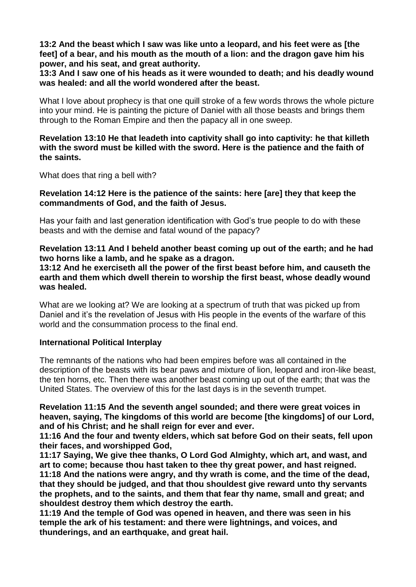**13:2 And the beast which I saw was like unto a leopard, and his feet were as [the feet] of a bear, and his mouth as the mouth of a lion: and the dragon gave him his power, and his seat, and great authority.**

**13:3 And I saw one of his heads as it were wounded to death; and his deadly wound was healed: and all the world wondered after the beast.**

What I love about prophecy is that one quill stroke of a few words throws the whole picture into your mind. He is painting the picture of Daniel with all those beasts and brings them through to the Roman Empire and then the papacy all in one sweep.

# **Revelation 13:10 He that leadeth into captivity shall go into captivity: he that killeth with the sword must be killed with the sword. Here is the patience and the faith of the saints.**

What does that ring a bell with?

## **Revelation 14:12 Here is the patience of the saints: here [are] they that keep the commandments of God, and the faith of Jesus.**

Has your faith and last generation identification with God's true people to do with these beasts and with the demise and fatal wound of the papacy?

**Revelation 13:11 And I beheld another beast coming up out of the earth; and he had two horns like a lamb, and he spake as a dragon.**

**13:12 And he exerciseth all the power of the first beast before him, and causeth the earth and them which dwell therein to worship the first beast, whose deadly wound was healed.**

What are we looking at? We are looking at a spectrum of truth that was picked up from Daniel and it's the revelation of Jesus with His people in the events of the warfare of this world and the consummation process to the final end.

# **International Political Interplay**

The remnants of the nations who had been empires before was all contained in the description of the beasts with its bear paws and mixture of lion, leopard and iron-like beast, the ten horns, etc. Then there was another beast coming up out of the earth; that was the United States. The overview of this for the last days is in the seventh trumpet.

**Revelation 11:15 And the seventh angel sounded; and there were great voices in heaven, saying, The kingdoms of this world are become [the kingdoms] of our Lord, and of his Christ; and he shall reign for ever and ever.**

**11:16 And the four and twenty elders, which sat before God on their seats, fell upon their faces, and worshipped God,**

**11:17 Saying, We give thee thanks, O Lord God Almighty, which art, and wast, and art to come; because thou hast taken to thee thy great power, and hast reigned. 11:18 And the nations were angry, and thy wrath is come, and the time of the dead, that they should be judged, and that thou shouldest give reward unto thy servants the prophets, and to the saints, and them that fear thy name, small and great; and shouldest destroy them which destroy the earth.**

**11:19 And the temple of God was opened in heaven, and there was seen in his temple the ark of his testament: and there were lightnings, and voices, and thunderings, and an earthquake, and great hail.**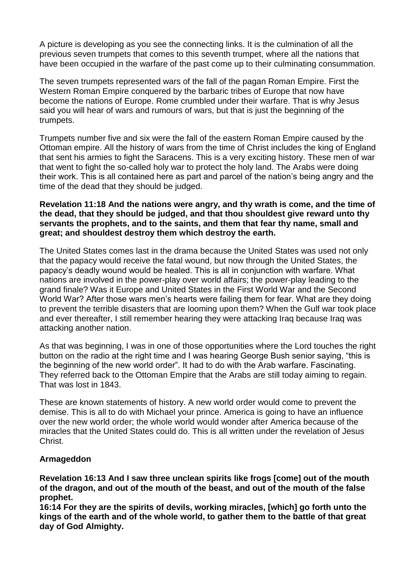A picture is developing as you see the connecting links. It is the culmination of all the previous seven trumpets that comes to this seventh trumpet, where all the nations that have been occupied in the warfare of the past come up to their culminating consummation.

The seven trumpets represented wars of the fall of the pagan Roman Empire. First the Western Roman Empire conquered by the barbaric tribes of Europe that now have become the nations of Europe. Rome crumbled under their warfare. That is why Jesus said you will hear of wars and rumours of wars, but that is just the beginning of the trumpets.

Trumpets number five and six were the fall of the eastern Roman Empire caused by the Ottoman empire. All the history of wars from the time of Christ includes the king of England that sent his armies to fight the Saracens. This is a very exciting history. These men of war that went to fight the so-called holy war to protect the holy land. The Arabs were doing their work. This is all contained here as part and parcel of the nation's being angry and the time of the dead that they should be judged.

## **Revelation 11:18 And the nations were angry, and thy wrath is come, and the time of the dead, that they should be judged, and that thou shouldest give reward unto thy servants the prophets, and to the saints, and them that fear thy name, small and great; and shouldest destroy them which destroy the earth.**

The United States comes last in the drama because the United States was used not only that the papacy would receive the fatal wound, but now through the United States, the papacy's deadly wound would be healed. This is all in conjunction with warfare. What nations are involved in the power-play over world affairs; the power-play leading to the grand finale? Was it Europe and United States in the First World War and the Second World War? After those wars men's hearts were failing them for fear. What are they doing to prevent the terrible disasters that are looming upon them? When the Gulf war took place and ever thereafter, I still remember hearing they were attacking Iraq because Iraq was attacking another nation.

As that was beginning, I was in one of those opportunities where the Lord touches the right button on the radio at the right time and I was hearing George Bush senior saying, "this is the beginning of the new world order". It had to do with the Arab warfare. Fascinating. They referred back to the Ottoman Empire that the Arabs are still today aiming to regain. That was lost in 1843.

These are known statements of history. A new world order would come to prevent the demise. This is all to do with Michael your prince. America is going to have an influence over the new world order; the whole world would wonder after America because of the miracles that the United States could do. This is all written under the revelation of Jesus Christ.

# **Armageddon**

**Revelation 16:13 And I saw three unclean spirits like frogs [come] out of the mouth of the dragon, and out of the mouth of the beast, and out of the mouth of the false prophet.**

**16:14 For they are the spirits of devils, working miracles, [which] go forth unto the kings of the earth and of the whole world, to gather them to the battle of that great day of God Almighty.**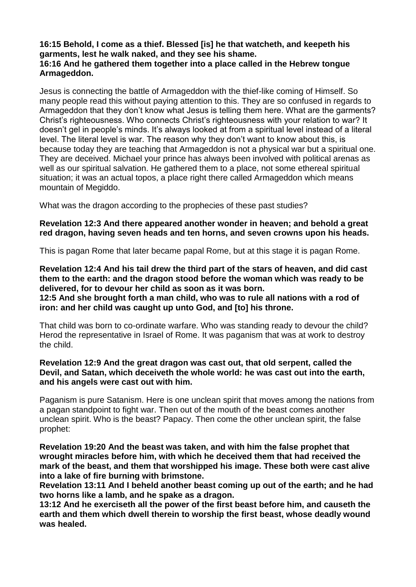**16:15 Behold, I come as a thief. Blessed [is] he that watcheth, and keepeth his garments, lest he walk naked, and they see his shame.**

# **16:16 And he gathered them together into a place called in the Hebrew tongue Armageddon.**

Jesus is connecting the battle of Armageddon with the thief-like coming of Himself. So many people read this without paying attention to this. They are so confused in regards to Armageddon that they don't know what Jesus is telling them here. What are the garments? Christ's righteousness. Who connects Christ's righteousness with your relation to war? It doesn't gel in people's minds. It's always looked at from a spiritual level instead of a literal level. The literal level is war. The reason why they don't want to know about this, is because today they are teaching that Armageddon is not a physical war but a spiritual one. They are deceived. Michael your prince has always been involved with political arenas as well as our spiritual salvation. He gathered them to a place, not some ethereal spiritual situation; it was an actual topos, a place right there called Armageddon which means mountain of Megiddo.

What was the dragon according to the prophecies of these past studies?

# **Revelation 12:3 And there appeared another wonder in heaven; and behold a great red dragon, having seven heads and ten horns, and seven crowns upon his heads.**

This is pagan Rome that later became papal Rome, but at this stage it is pagan Rome.

**Revelation 12:4 And his tail drew the third part of the stars of heaven, and did cast them to the earth: and the dragon stood before the woman which was ready to be delivered, for to devour her child as soon as it was born.**

**12:5 And she brought forth a man child, who was to rule all nations with a rod of iron: and her child was caught up unto God, and [to] his throne.**

That child was born to co-ordinate warfare. Who was standing ready to devour the child? Herod the representative in Israel of Rome. It was paganism that was at work to destroy the child.

## **Revelation 12:9 And the great dragon was cast out, that old serpent, called the Devil, and Satan, which deceiveth the whole world: he was cast out into the earth, and his angels were cast out with him.**

Paganism is pure Satanism. Here is one unclean spirit that moves among the nations from a pagan standpoint to fight war. Then out of the mouth of the beast comes another unclean spirit. Who is the beast? Papacy. Then come the other unclean spirit, the false prophet:

**Revelation 19:20 And the beast was taken, and with him the false prophet that wrought miracles before him, with which he deceived them that had received the mark of the beast, and them that worshipped his image. These both were cast alive into a lake of fire burning with brimstone.**

**Revelation 13:11 And I beheld another beast coming up out of the earth; and he had two horns like a lamb, and he spake as a dragon.**

**13:12 And he exerciseth all the power of the first beast before him, and causeth the earth and them which dwell therein to worship the first beast, whose deadly wound was healed.**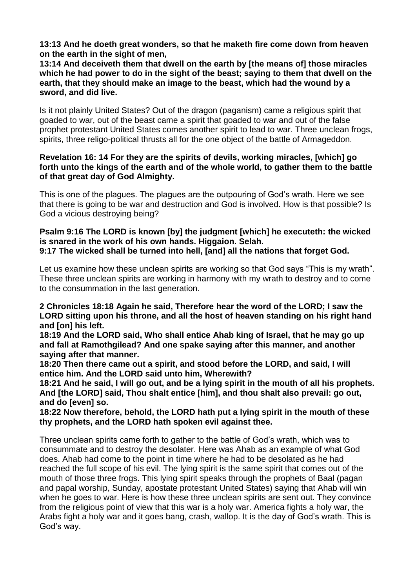**13:13 And he doeth great wonders, so that he maketh fire come down from heaven on the earth in the sight of men,**

**13:14 And deceiveth them that dwell on the earth by [the means of] those miracles which he had power to do in the sight of the beast; saying to them that dwell on the earth, that they should make an image to the beast, which had the wound by a sword, and did live.**

Is it not plainly United States? Out of the dragon (paganism) came a religious spirit that goaded to war, out of the beast came a spirit that goaded to war and out of the false prophet protestant United States comes another spirit to lead to war. Three unclean frogs, spirits, three religo-political thrusts all for the one object of the battle of Armageddon.

# **Revelation 16: 14 For they are the spirits of devils, working miracles, [which] go forth unto the kings of the earth and of the whole world, to gather them to the battle of that great day of God Almighty.**

This is one of the plagues. The plagues are the outpouring of God's wrath. Here we see that there is going to be war and destruction and God is involved. How is that possible? Is God a vicious destroying being?

#### **Psalm 9:16 The LORD is known [by] the judgment [which] he executeth: the wicked is snared in the work of his own hands. Higgaion. Selah. 9:17 The wicked shall be turned into hell, [and] all the nations that forget God.**

Let us examine how these unclean spirits are working so that God says "This is my wrath". These three unclean spirits are working in harmony with my wrath to destroy and to come to the consummation in the last generation.

# **2 Chronicles 18:18 Again he said, Therefore hear the word of the LORD; I saw the LORD sitting upon his throne, and all the host of heaven standing on his right hand and [on] his left.**

**18:19 And the LORD said, Who shall entice Ahab king of Israel, that he may go up and fall at Ramothgilead? And one spake saying after this manner, and another saying after that manner.**

**18:20 Then there came out a spirit, and stood before the LORD, and said, I will entice him. And the LORD said unto him, Wherewith?**

18:21 And he said, I will go out, and be a lying spirit in the mouth of all his prophets. **And [the LORD] said, Thou shalt entice [him], and thou shalt also prevail: go out, and do [even] so.**

#### **18:22 Now therefore, behold, the LORD hath put a lying spirit in the mouth of these thy prophets, and the LORD hath spoken evil against thee.**

Three unclean spirits came forth to gather to the battle of God's wrath, which was to consummate and to destroy the desolater. Here was Ahab as an example of what God does. Ahab had come to the point in time where he had to be desolated as he had reached the full scope of his evil. The lying spirit is the same spirit that comes out of the mouth of those three frogs. This lying spirit speaks through the prophets of Baal (pagan and papal worship, Sunday, apostate protestant United States) saying that Ahab will win when he goes to war. Here is how these three unclean spirits are sent out. They convince from the religious point of view that this war is a holy war. America fights a holy war, the Arabs fight a holy war and it goes bang, crash, wallop. It is the day of God's wrath. This is God's way.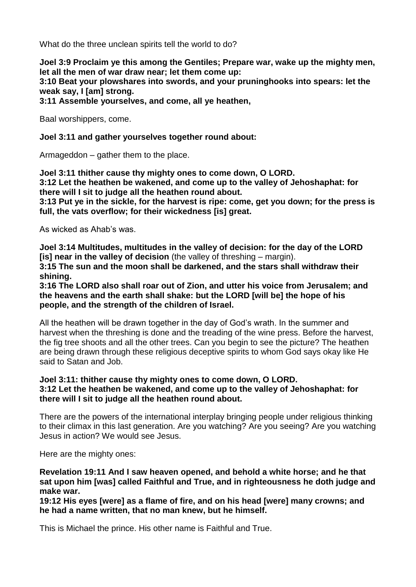What do the three unclean spirits tell the world to do?

**Joel 3:9 Proclaim ye this among the Gentiles; Prepare war, wake up the mighty men, let all the men of war draw near; let them come up:**

**3:10 Beat your plowshares into swords, and your pruninghooks into spears: let the weak say, I [am] strong.**

**3:11 Assemble yourselves, and come, all ye heathen,**

Baal worshippers, come.

**Joel 3:11 and gather yourselves together round about:**

Armageddon – gather them to the place.

**Joel 3:11 thither cause thy mighty ones to come down, O LORD. 3:12 Let the heathen be wakened, and come up to the valley of Jehoshaphat: for there will I sit to judge all the heathen round about.**

**3:13 Put ye in the sickle, for the harvest is ripe: come, get you down; for the press is full, the vats overflow; for their wickedness [is] great.**

As wicked as Ahab's was.

**Joel 3:14 Multitudes, multitudes in the valley of decision: for the day of the LORD [is] near in the valley of decision** (the valley of threshing – margin).

**3:15 The sun and the moon shall be darkened, and the stars shall withdraw their shining.**

**3:16 The LORD also shall roar out of Zion, and utter his voice from Jerusalem; and the heavens and the earth shall shake: but the LORD [will be] the hope of his people, and the strength of the children of Israel.**

All the heathen will be drawn together in the day of God's wrath. In the summer and harvest when the threshing is done and the treading of the wine press. Before the harvest, the fig tree shoots and all the other trees. Can you begin to see the picture? The heathen are being drawn through these religious deceptive spirits to whom God says okay like He said to Satan and Job.

## **Joel 3:11: thither cause thy mighty ones to come down, O LORD. 3:12 Let the heathen be wakened, and come up to the valley of Jehoshaphat: for there will I sit to judge all the heathen round about.**

There are the powers of the international interplay bringing people under religious thinking to their climax in this last generation. Are you watching? Are you seeing? Are you watching Jesus in action? We would see Jesus.

Here are the mighty ones:

# **Revelation 19:11 And I saw heaven opened, and behold a white horse; and he that sat upon him [was] called Faithful and True, and in righteousness he doth judge and make war.**

**19:12 His eyes [were] as a flame of fire, and on his head [were] many crowns; and he had a name written, that no man knew, but he himself.**

This is Michael the prince. His other name is Faithful and True.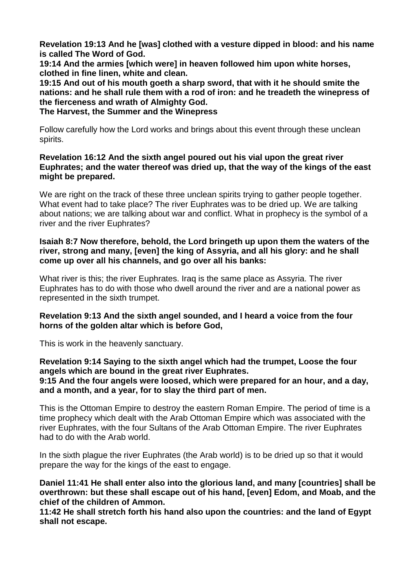**Revelation 19:13 And he [was] clothed with a vesture dipped in blood: and his name is called The Word of God.**

**19:14 And the armies [which were] in heaven followed him upon white horses, clothed in fine linen, white and clean.**

**19:15 And out of his mouth goeth a sharp sword, that with it he should smite the nations: and he shall rule them with a rod of iron: and he treadeth the winepress of the fierceness and wrath of Almighty God.**

**The Harvest, the Summer and the Winepress**

Follow carefully how the Lord works and brings about this event through these unclean spirits.

# **Revelation 16:12 And the sixth angel poured out his vial upon the great river Euphrates; and the water thereof was dried up, that the way of the kings of the east might be prepared.**

We are right on the track of these three unclean spirits trying to gather people together. What event had to take place? The river Euphrates was to be dried up. We are talking about nations; we are talking about war and conflict. What in prophecy is the symbol of a river and the river Euphrates?

# **Isaiah 8:7 Now therefore, behold, the Lord bringeth up upon them the waters of the river, strong and many, [even] the king of Assyria, and all his glory: and he shall come up over all his channels, and go over all his banks:**

What river is this; the river Euphrates. Iraq is the same place as Assyria. The river Euphrates has to do with those who dwell around the river and are a national power as represented in the sixth trumpet.

# **Revelation 9:13 And the sixth angel sounded, and I heard a voice from the four horns of the golden altar which is before God,**

This is work in the heavenly sanctuary.

#### **Revelation 9:14 Saying to the sixth angel which had the trumpet, Loose the four angels which are bound in the great river Euphrates. 9:15 And the four angels were loosed, which were prepared for an hour, and a day, and a month, and a year, for to slay the third part of men.**

This is the Ottoman Empire to destroy the eastern Roman Empire. The period of time is a time prophecy which dealt with the Arab Ottoman Empire which was associated with the river Euphrates, with the four Sultans of the Arab Ottoman Empire. The river Euphrates had to do with the Arab world.

In the sixth plague the river Euphrates (the Arab world) is to be dried up so that it would prepare the way for the kings of the east to engage.

**Daniel 11:41 He shall enter also into the glorious land, and many [countries] shall be overthrown: but these shall escape out of his hand, [even] Edom, and Moab, and the chief of the children of Ammon.**

**11:42 He shall stretch forth his hand also upon the countries: and the land of Egypt shall not escape.**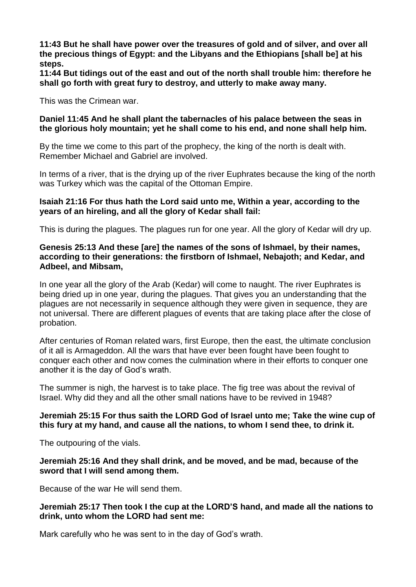**11:43 But he shall have power over the treasures of gold and of silver, and over all the precious things of Egypt: and the Libyans and the Ethiopians [shall be] at his steps.**

**11:44 But tidings out of the east and out of the north shall trouble him: therefore he shall go forth with great fury to destroy, and utterly to make away many.**

This was the Crimean war.

# **Daniel 11:45 And he shall plant the tabernacles of his palace between the seas in the glorious holy mountain; yet he shall come to his end, and none shall help him.**

By the time we come to this part of the prophecy, the king of the north is dealt with. Remember Michael and Gabriel are involved.

In terms of a river, that is the drying up of the river Euphrates because the king of the north was Turkey which was the capital of the Ottoman Empire.

# **Isaiah 21:16 For thus hath the Lord said unto me, Within a year, according to the years of an hireling, and all the glory of Kedar shall fail:**

This is during the plagues. The plagues run for one year. All the glory of Kedar will dry up.

# **Genesis 25:13 And these [are] the names of the sons of Ishmael, by their names, according to their generations: the firstborn of Ishmael, Nebajoth; and Kedar, and Adbeel, and Mibsam,**

In one year all the glory of the Arab (Kedar) will come to naught. The river Euphrates is being dried up in one year, during the plagues. That gives you an understanding that the plagues are not necessarily in sequence although they were given in sequence, they are not universal. There are different plagues of events that are taking place after the close of probation.

After centuries of Roman related wars, first Europe, then the east, the ultimate conclusion of it all is Armageddon. All the wars that have ever been fought have been fought to conquer each other and now comes the culmination where in their efforts to conquer one another it is the day of God's wrath.

The summer is nigh, the harvest is to take place. The fig tree was about the revival of Israel. Why did they and all the other small nations have to be revived in 1948?

# **Jeremiah 25:15 For thus saith the LORD God of Israel unto me; Take the wine cup of this fury at my hand, and cause all the nations, to whom I send thee, to drink it.**

The outpouring of the vials.

# **Jeremiah 25:16 And they shall drink, and be moved, and be mad, because of the sword that I will send among them.**

Because of the war He will send them.

# **Jeremiah 25:17 Then took I the cup at the LORD'S hand, and made all the nations to drink, unto whom the LORD had sent me:**

Mark carefully who he was sent to in the day of God's wrath.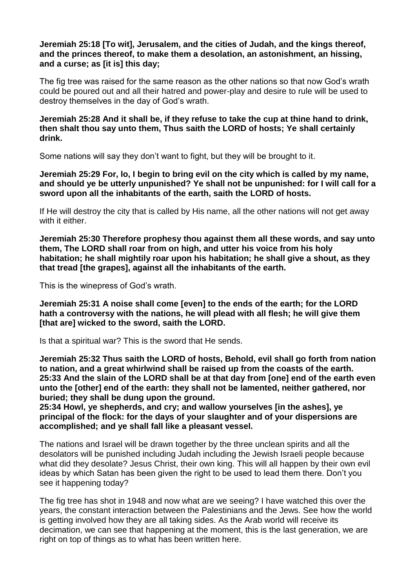# **Jeremiah 25:18 [To wit], Jerusalem, and the cities of Judah, and the kings thereof, and the princes thereof, to make them a desolation, an astonishment, an hissing, and a curse; as [it is] this day;**

The fig tree was raised for the same reason as the other nations so that now God's wrath could be poured out and all their hatred and power-play and desire to rule will be used to destroy themselves in the day of God's wrath.

# **Jeremiah 25:28 And it shall be, if they refuse to take the cup at thine hand to drink, then shalt thou say unto them, Thus saith the LORD of hosts; Ye shall certainly drink.**

Some nations will say they don't want to fight, but they will be brought to it.

**Jeremiah 25:29 For, lo, I begin to bring evil on the city which is called by my name, and should ye be utterly unpunished? Ye shall not be unpunished: for I will call for a sword upon all the inhabitants of the earth, saith the LORD of hosts.**

If He will destroy the city that is called by His name, all the other nations will not get away with it either.

**Jeremiah 25:30 Therefore prophesy thou against them all these words, and say unto them, The LORD shall roar from on high, and utter his voice from his holy habitation; he shall mightily roar upon his habitation; he shall give a shout, as they that tread [the grapes], against all the inhabitants of the earth.**

This is the winepress of God's wrath.

**Jeremiah 25:31 A noise shall come [even] to the ends of the earth; for the LORD hath a controversy with the nations, he will plead with all flesh; he will give them [that are] wicked to the sword, saith the LORD.**

Is that a spiritual war? This is the sword that He sends.

**Jeremiah 25:32 Thus saith the LORD of hosts, Behold, evil shall go forth from nation to nation, and a great whirlwind shall be raised up from the coasts of the earth. 25:33 And the slain of the LORD shall be at that day from [one] end of the earth even unto the [other] end of the earth: they shall not be lamented, neither gathered, nor buried; they shall be dung upon the ground.**

**25:34 Howl, ye shepherds, and cry; and wallow yourselves [in the ashes], ye principal of the flock: for the days of your slaughter and of your dispersions are accomplished; and ye shall fall like a pleasant vessel.**

The nations and Israel will be drawn together by the three unclean spirits and all the desolators will be punished including Judah including the Jewish Israeli people because what did they desolate? Jesus Christ, their own king. This will all happen by their own evil ideas by which Satan has been given the right to be used to lead them there. Don't you see it happening today?

The fig tree has shot in 1948 and now what are we seeing? I have watched this over the years, the constant interaction between the Palestinians and the Jews. See how the world is getting involved how they are all taking sides. As the Arab world will receive its decimation, we can see that happening at the moment, this is the last generation, we are right on top of things as to what has been written here.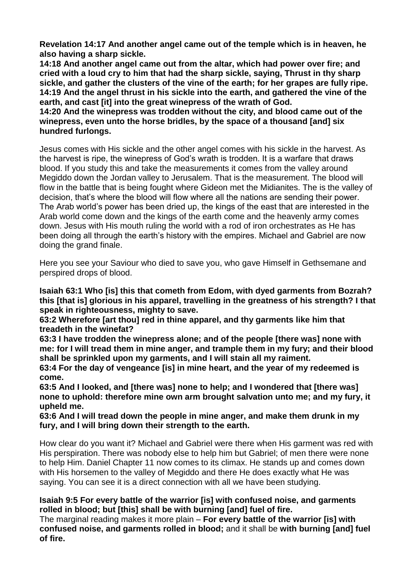**Revelation 14:17 And another angel came out of the temple which is in heaven, he also having a sharp sickle.**

**14:18 And another angel came out from the altar, which had power over fire; and cried with a loud cry to him that had the sharp sickle, saying, Thrust in thy sharp sickle, and gather the clusters of the vine of the earth; for her grapes are fully ripe. 14:19 And the angel thrust in his sickle into the earth, and gathered the vine of the earth, and cast [it] into the great winepress of the wrath of God.**

**14:20 And the winepress was trodden without the city, and blood came out of the winepress, even unto the horse bridles, by the space of a thousand [and] six hundred furlongs.**

Jesus comes with His sickle and the other angel comes with his sickle in the harvest. As the harvest is ripe, the winepress of God's wrath is trodden. It is a warfare that draws blood. If you study this and take the measurements it comes from the valley around Megiddo down the Jordan valley to Jerusalem. That is the measurement. The blood will flow in the battle that is being fought where Gideon met the Midianites. The is the valley of decision, that's where the blood will flow where all the nations are sending their power. The Arab world's power has been dried up, the kings of the east that are interested in the Arab world come down and the kings of the earth come and the heavenly army comes down. Jesus with His mouth ruling the world with a rod of iron orchestrates as He has been doing all through the earth's history with the empires. Michael and Gabriel are now doing the grand finale.

Here you see your Saviour who died to save you, who gave Himself in Gethsemane and perspired drops of blood.

**Isaiah 63:1 Who [is] this that cometh from Edom, with dyed garments from Bozrah? this [that is] glorious in his apparel, travelling in the greatness of his strength? I that speak in righteousness, mighty to save.**

**63:2 Wherefore [art thou] red in thine apparel, and thy garments like him that treadeth in the winefat?**

**63:3 I have trodden the winepress alone; and of the people [there was] none with me: for I will tread them in mine anger, and trample them in my fury; and their blood shall be sprinkled upon my garments, and I will stain all my raiment.**

**63:4 For the day of vengeance [is] in mine heart, and the year of my redeemed is come.**

**63:5 And I looked, and [there was] none to help; and I wondered that [there was] none to uphold: therefore mine own arm brought salvation unto me; and my fury, it upheld me.**

**63:6 And I will tread down the people in mine anger, and make them drunk in my fury, and I will bring down their strength to the earth.**

How clear do you want it? Michael and Gabriel were there when His garment was red with His perspiration. There was nobody else to help him but Gabriel; of men there were none to help Him. Daniel Chapter 11 now comes to its climax. He stands up and comes down with His horsemen to the valley of Megiddo and there He does exactly what He was saying. You can see it is a direct connection with all we have been studying.

# **Isaiah 9:5 For every battle of the warrior [is] with confused noise, and garments rolled in blood; but [this] shall be with burning [and] fuel of fire.**

The marginal reading makes it more plain – **For every battle of the warrior [is] with confused noise, and garments rolled in blood;** and it shall be **with burning [and] fuel of fire.**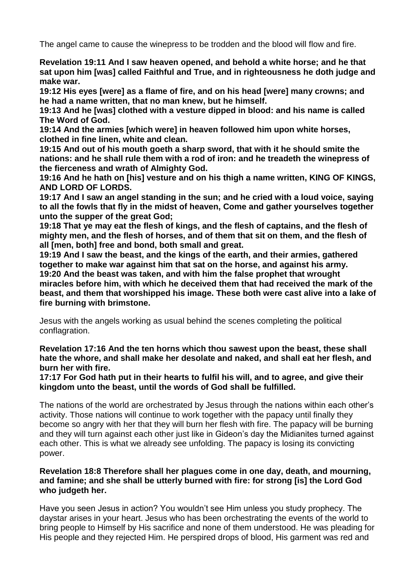The angel came to cause the winepress to be trodden and the blood will flow and fire.

**Revelation 19:11 And I saw heaven opened, and behold a white horse; and he that sat upon him [was] called Faithful and True, and in righteousness he doth judge and make war.**

**19:12 His eyes [were] as a flame of fire, and on his head [were] many crowns; and he had a name written, that no man knew, but he himself.**

**19:13 And he [was] clothed with a vesture dipped in blood: and his name is called The Word of God.**

**19:14 And the armies [which were] in heaven followed him upon white horses, clothed in fine linen, white and clean.**

**19:15 And out of his mouth goeth a sharp sword, that with it he should smite the nations: and he shall rule them with a rod of iron: and he treadeth the winepress of the fierceness and wrath of Almighty God.**

**19:16 And he hath on [his] vesture and on his thigh a name written, KING OF KINGS, AND LORD OF LORDS.**

**19:17 And I saw an angel standing in the sun; and he cried with a loud voice, saying to all the fowls that fly in the midst of heaven, Come and gather yourselves together unto the supper of the great God;**

**19:18 That ye may eat the flesh of kings, and the flesh of captains, and the flesh of mighty men, and the flesh of horses, and of them that sit on them, and the flesh of all [men, both] free and bond, both small and great.**

**19:19 And I saw the beast, and the kings of the earth, and their armies, gathered together to make war against him that sat on the horse, and against his army. 19:20 And the beast was taken, and with him the false prophet that wrought miracles before him, with which he deceived them that had received the mark of the beast, and them that worshipped his image. These both were cast alive into a lake of fire burning with brimstone.**

Jesus with the angels working as usual behind the scenes completing the political conflagration.

**Revelation 17:16 And the ten horns which thou sawest upon the beast, these shall hate the whore, and shall make her desolate and naked, and shall eat her flesh, and burn her with fire.**

**17:17 For God hath put in their hearts to fulfil his will, and to agree, and give their kingdom unto the beast, until the words of God shall be fulfilled.**

The nations of the world are orchestrated by Jesus through the nations within each other's activity. Those nations will continue to work together with the papacy until finally they become so angry with her that they will burn her flesh with fire. The papacy will be burning and they will turn against each other just like in Gideon's day the Midianites turned against each other. This is what we already see unfolding. The papacy is losing its convicting power.

# **Revelation 18:8 Therefore shall her plagues come in one day, death, and mourning, and famine; and she shall be utterly burned with fire: for strong [is] the Lord God who judgeth her.**

Have you seen Jesus in action? You wouldn't see Him unless you study prophecy. The daystar arises in your heart. Jesus who has been orchestrating the events of the world to bring people to Himself by His sacrifice and none of them understood. He was pleading for His people and they rejected Him. He perspired drops of blood, His garment was red and